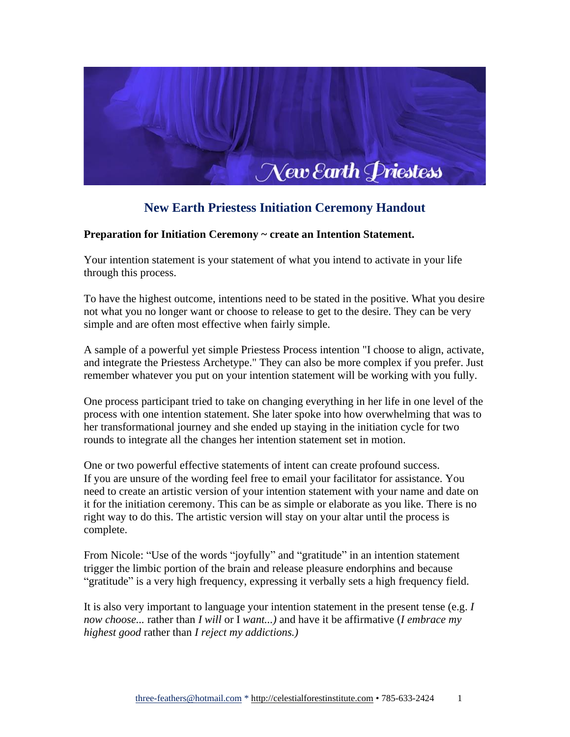

## **New Earth Priestess Initiation Ceremony Handout**

## **Preparation for Initiation Ceremony ~ create an Intention Statement.**

Your intention statement is your statement of what you intend to activate in your life through this process.

To have the highest outcome, intentions need to be stated in the positive. What you desire not what you no longer want or choose to release to get to the desire. They can be very simple and are often most effective when fairly simple.

A sample of a powerful yet simple Priestess Process intention "I choose to align, activate, and integrate the Priestess Archetype." They can also be more complex if you prefer. Just remember whatever you put on your intention statement will be working with you fully.

One process participant tried to take on changing everything in her life in one level of the process with one intention statement. She later spoke into how overwhelming that was to her transformational journey and she ended up staying in the initiation cycle for two rounds to integrate all the changes her intention statement set in motion.

One or two powerful effective statements of intent can create profound success. If you are unsure of the wording feel free to email your facilitator for assistance. You need to create an artistic version of your intention statement with your name and date on it for the initiation ceremony. This can be as simple or elaborate as you like. There is no right way to do this. The artistic version will stay on your altar until the process is complete.

From Nicole: "Use of the words "joyfully" and "gratitude" in an intention statement trigger the limbic portion of the brain and release pleasure endorphins and because "gratitude" is a very high frequency, expressing it verbally sets a high frequency field.

It is also very important to language your intention statement in the present tense (e.g. *I now choose...* rather than *I will* or I *want...)* and have it be affirmative (*I embrace my highest good* rather than *I reject my addictions.)*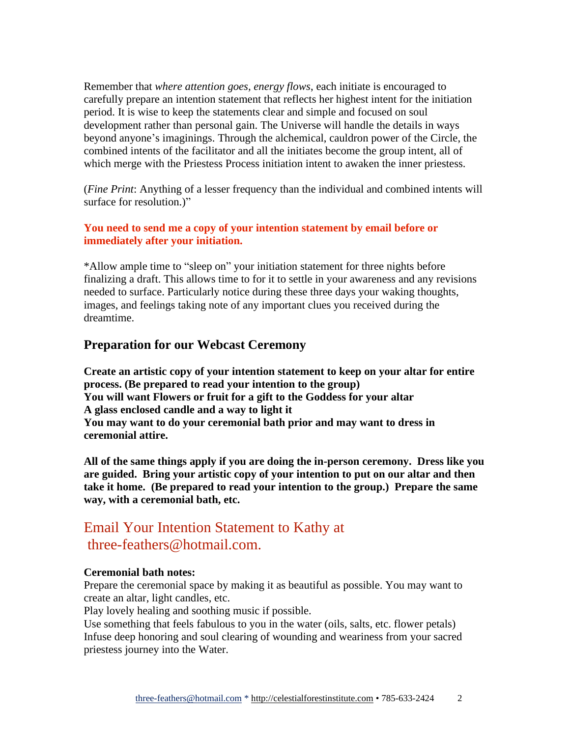Remember that *where attention goes, energy flows*, each initiate is encouraged to carefully prepare an intention statement that reflects her highest intent for the initiation period. It is wise to keep the statements clear and simple and focused on soul development rather than personal gain. The Universe will handle the details in ways beyond anyone's imaginings. Through the alchemical, cauldron power of the Circle, the combined intents of the facilitator and all the initiates become the group intent, all of which merge with the Priestess Process initiation intent to awaken the inner priestess.

(*Fine Print*: Anything of a lesser frequency than the individual and combined intents will surface for resolution.)"

### **You need to send me a copy of your intention statement by email before or immediately after your initiation.**

\*Allow ample time to "sleep on" your initiation statement for three nights before finalizing a draft. This allows time to for it to settle in your awareness and any revisions needed to surface. Particularly notice during these three days your waking thoughts, images, and feelings taking note of any important clues you received during the dreamtime.

## **Preparation for our Webcast Ceremony**

**Create an artistic copy of your intention statement to keep on your altar for entire process. (Be prepared to read your intention to the group) You will want Flowers or fruit for a gift to the Goddess for your altar A glass enclosed candle and a way to light it You may want to do your ceremonial bath prior and may want to dress in ceremonial attire.**

**All of the same things apply if you are doing the in-person ceremony. Dress like you are guided. Bring your artistic copy of your intention to put on our altar and then take it home. (Be prepared to read your intention to the group.) Prepare the same way, with a ceremonial bath, etc.**

# Email Your Intention Statement to Kathy at three-feathers@hotmail.com.

#### **Ceremonial bath notes:**

Prepare the ceremonial space by making it as beautiful as possible. You may want to create an altar, light candles, etc.

Play lovely healing and soothing music if possible.

Use something that feels fabulous to you in the water (oils, salts, etc. flower petals) Infuse deep honoring and soul clearing of wounding and weariness from your sacred priestess journey into the Water.